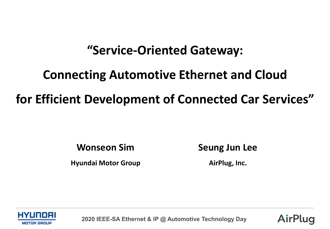# **"Service-Oriented Gateway:**

# **Connecting Automotive Ethernet and Cloud for Efficient Development of Connected Car Services"**

**Wonseon Sim**

**Hyundai Motor Group**

**Seung Jun Lee**

**AirPlug, Inc.**



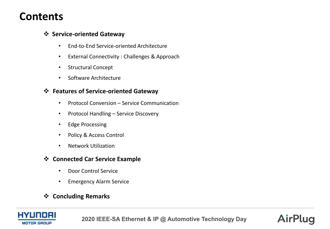### **Contents**

#### **Service-oriented Gateway**

- End-to-End Service-oriented Architecture
- External Connectivity : Challenges & Approach
- Structural Concept
- Software Architecture

#### **Features of Service-oriented Gateway**

- Protocol Conversion Service Communication
- Protocol Handling Service Discovery
- Edge Processing
- Policy & Access Control
- Network Utilization

#### **Connected Car Service Example**

- Door Control Service
- Emergency Alarm Service

#### **Concluding Remarks**

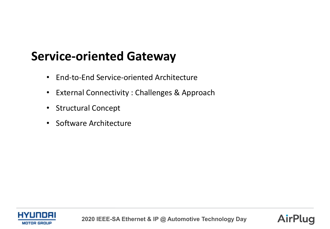# **Service-oriented Gateway**

- End-to-End Service-oriented Architecture
- External Connectivity : Challenges & Approach
- Structural Concept
- Software Architecture



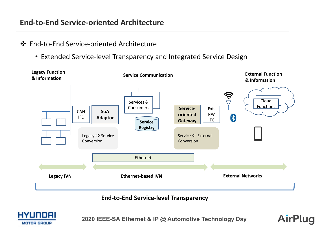#### **End-to-End Service-oriented Architecture**

#### End-to-End Service-oriented Architecture

• Extended Service-level Transparency and Integrated Service Design



#### **End-to-End Service-level Transparency**



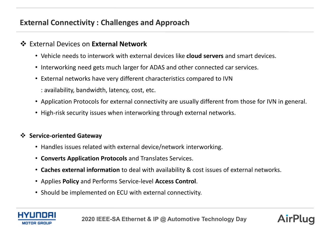#### **External Connectivity : Challenges and Approach**

#### External Devices on **External Network**

- Vehicle needs to interwork with external devices like **cloud servers** and smart devices.
- Interworking need gets much larger for ADAS and other connected car services.
- External networks have very different characteristics compared to IVN
	- : availability, bandwidth, latency, cost, etc.
- Application Protocols for external connectivity are usually different from those for IVN in general.
- High-risk security issues when interworking through external networks.

#### **Service-oriented Gateway**

- Handles issues related with external device/network interworking.
- **Converts Application Protocols** and Translates Services.
- **Caches external information** to deal with availability & cost issues of external networks.
- Applies **Policy** and Performs Service-level **Access Control**.
- Should be implemented on ECU with external connectivity.



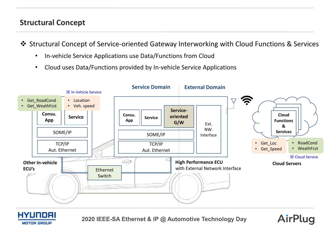#### **Structural Concept**

- Structural Concept of Service-oriented Gateway Interworking with Cloud Functions & Services
	- In-vehicle Service Applications use Data/Functions from Cloud
	- Cloud uses Data/Functions provided by In-vehicle Service Applications





**2020 IEEE-SA Ethernet & IP @ Automotive Technology Day**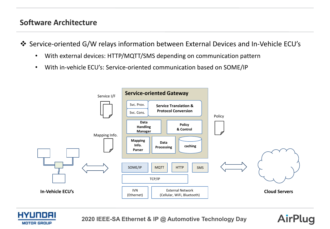#### **Software Architecture**

Service-oriented G/W relays information between External Devices and In-Vehicle ECU's

- With external devices: HTTP/MQTT/SMS depending on communication pattern
- With in-vehicle ECU's: Service-oriented communication based on SOME/IP





**2020 IEEE-SA Ethernet & IP @ Automotive Technology Day**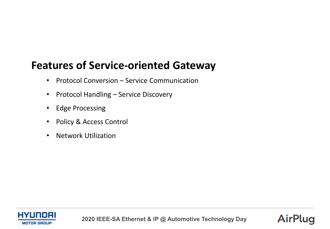## **Features of Service-oriented Gateway**

- Protocol Conversion Service Communication
- Protocol Handling Service Discovery
- Edge Processing
- Policy & Access Control
- Network Utilization



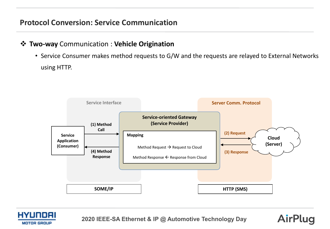#### **Two-way** Communication : **Vehicle Origination**

• Service Consumer makes method requests to G/W and the requests are relayed to External Networks using HTTP.





**2020 IEEE-SA Ethernet & IP @ Automotive Technology Day**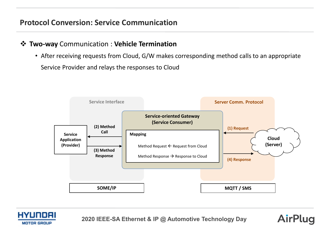#### **Two-way** Communication : **Vehicle Termination**

• After receiving requests from Cloud, G/W makes corresponding method calls to an appropriate Service Provider and relays the responses to Cloud





**2020 IEEE-SA Ethernet & IP @ Automotive Technology Day**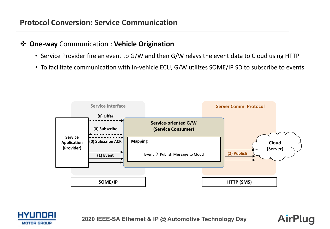#### **One-way** Communication : **Vehicle Origination**

- Service Provider fire an event to G/W and then G/W relays the event data to Cloud using HTTP
- To facilitate communication with In-vehicle ECU, G/W utilizes SOME/IP SD to subscribe to events





**2020 IEEE-SA Ethernet & IP @ Automotive Technology Day**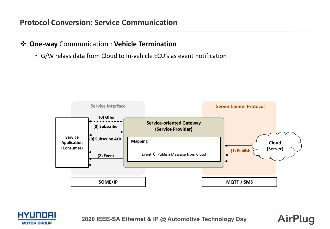#### **One-way** Communication : **Vehicle Termination**

• G/W relays data from Cloud to In-vehicle ECU's as event notification





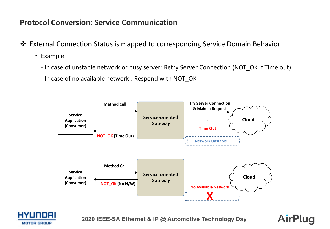- External Connection Status is mapped to corresponding Service Domain Behavior
	- Example
		- In case of unstable network or busy server: Retry Server Connection (NOT\_OK if Time out)
		- In case of no available network : Respond with NOT\_OK





**2020 IEEE-SA Ethernet & IP @ Automotive Technology Day**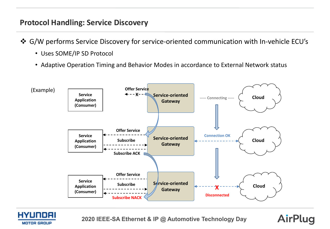#### **Protocol Handling: Service Discovery**

- G/W performs Service Discovery for service-oriented communication with In-vehicle ECU's
	- Uses SOME/IP SD Protocol
	- Adaptive Operation Timing and Behavior Modes in accordance to External Network status





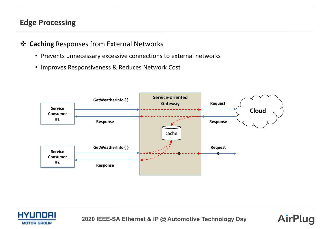#### **Edge Processing**

#### **Caching** Responses from External Networks

- Prevents unnecessary excessive connections to external networks
- Improves Responsiveness & Reduces Network Cost





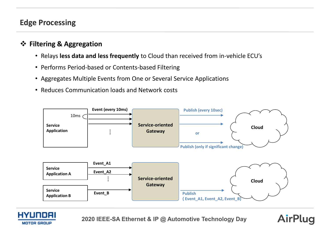#### **Edge Processing**

#### **Filtering & Aggregation**

- Relays **less data and less frequently** to Cloud than received from in-vehicle ECU's
- Performs Period-based or Contents-based Filtering
- Aggregates Multiple Events from One or Several Service Applications
- Reduces Communication loads and Network costs





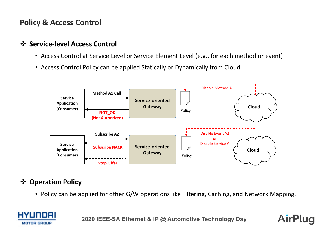#### **Policy & Access Control**

#### **Service-level Access Control**

- Access Control at Service Level or Service Element Level (e.g., for each method or event)
- Access Control Policy can be applied Statically or Dynamically from Cloud



#### **Operation Policy**

• Policy can be applied for other G/W operations like Filtering, Caching, and Network Mapping.



**2020 IEEE-SA Ethernet & IP @ Automotive Technology Day**

AirPlua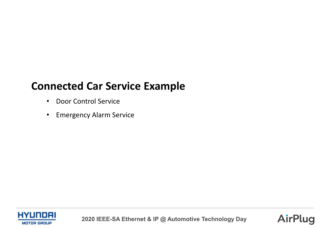### **Connected Car Service Example**

- Door Control Service
- Emergency Alarm Service



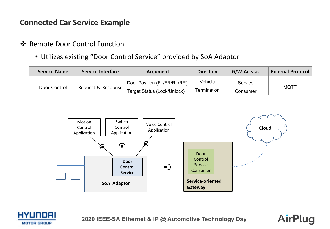#### **Connected Car Service Example**

#### ❖ Remote Door Control Function

• Utilizes existing "Door Control Service" provided by SoA Adaptor

| <b>Service Name</b> | <b>Service Interface</b> | Argument                    | <b>Direction</b> | G/W Acts as | <b>External Protocol</b> |
|---------------------|--------------------------|-----------------------------|------------------|-------------|--------------------------|
| Door Control        | Request & Response       | Door Position (FL/FR/RL/RR) | Vehicle          | Service     | <b>MQTT</b>              |
|                     |                          | Target Status (Lock/Unlock) | Termination      | Consumer    |                          |





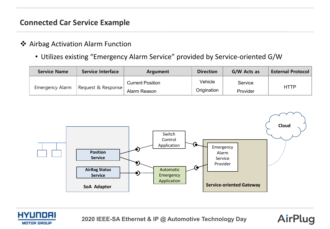#### **Connected Car Service Example**

#### **❖** Airbag Activation Alarm Function

• Utilizes existing "Emergency Alarm Service" provided by Service-oriented G/W

| <b>Service Name</b> | <b>Service Interface</b> | Argument                | <b>Direction</b> | G/W Acts as | <b>External Protocol</b> |
|---------------------|--------------------------|-------------------------|------------------|-------------|--------------------------|
| Emergency Alarm     | Request & Response       | <b>Current Position</b> | Vehicle          | Service     | <b>HTTP</b>              |
|                     |                          | Alarm Reason            | Origination      | Provider    |                          |